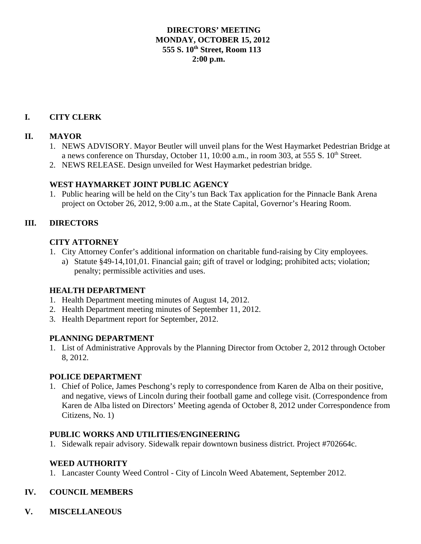#### **DIRECTORS' MEETING MONDAY, OCTOBER 15, 2012 555 S. 10th Street, Room 113 2:00 p.m.**

# **I. CITY CLERK**

# **II. MAYOR**

- 1. NEWS ADVISORY. Mayor Beutler will unveil plans for the West Haymarket Pedestrian Bridge at a news conference on Thursday, October 11,  $10:00$  a.m., in room 303, at 555 S.  $10<sup>th</sup>$  Street.
- 2. NEWS RELEASE. Design unveiled for West Haymarket pedestrian bridge.

#### **WEST HAYMARKET JOINT PUBLIC AGENCY**

1. Public hearing will be held on the City's tun Back Tax application for the Pinnacle Bank Arena project on October 26, 2012, 9:00 a.m., at the State Capital, Governor's Hearing Room.

# **III. DIRECTORS**

# **CITY ATTORNEY**

- 1. City Attorney Confer's additional information on charitable fund-raising by City employees.
	- a) Statute §49-14,101,01. Financial gain; gift of travel or lodging; prohibited acts; violation; penalty; permissible activities and uses.

# **HEALTH DEPARTMENT**

- 1. Health Department meeting minutes of August 14, 2012.
- 2. Health Department meeting minutes of September 11, 2012.
- 3. Health Department report for September, 2012.

# **PLANNING DEPARTMENT**

1. List of Administrative Approvals by the Planning Director from October 2, 2012 through October 8, 2012.

#### **POLICE DEPARTMENT**

1. Chief of Police, James Peschong's reply to correspondence from Karen de Alba on their positive, and negative, views of Lincoln during their football game and college visit. (Correspondence from Karen de Alba listed on Directors' Meeting agenda of October 8, 2012 under Correspondence from Citizens, No. 1)

# **PUBLIC WORKS AND UTILITIES/ENGINEERING**

1. Sidewalk repair advisory. Sidewalk repair downtown business district. Project #702664c.

# **WEED AUTHORITY**

1. Lancaster County Weed Control - City of Lincoln Weed Abatement, September 2012.

# **IV. COUNCIL MEMBERS**

**V. MISCELLANEOUS**